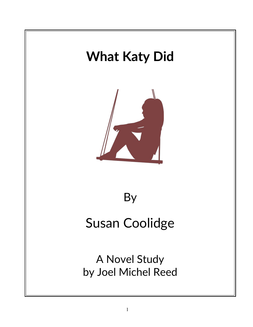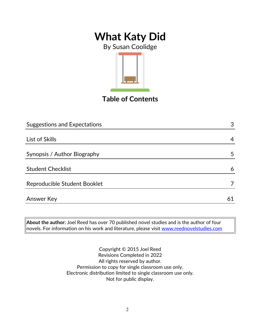By Susan Coolidge



**Table of Contents**

| <b>Suggestions and Expectations</b> | 3  |  |
|-------------------------------------|----|--|
|                                     |    |  |
| List of Skills                      | 4  |  |
|                                     |    |  |
| Synopsis / Author Biography         | 5  |  |
|                                     |    |  |
| <b>Student Checklist</b>            | 6  |  |
| Reproducible Student Booklet        |    |  |
|                                     |    |  |
| <b>Answer Key</b>                   | 61 |  |

**About the author:** Joel Reed has over 70 published novel studies and is the author of four  $|$ novels. For information on his work and literature, please visit  $\overline{\text{www.reednovelstudies.com}}$ 

> Copyright © 2015 Joel Reed Revisions Completed in 2022 All rights reserved by author. Permission to copy for single classroom use only. Electronic distribution limited to single classroom use only. Not for public display.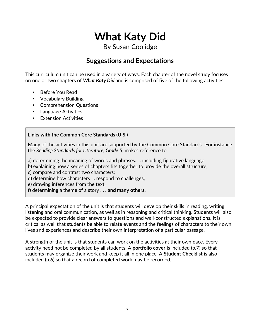By Susan Coolidge

### **Suggestions and Expectations**

This curriculum unit can be used in a variety of ways. Each chapter of the novel study focuses on one or two chapters of *What Katy Did* and is comprised of five of the following activities:

- Before You Read
- Vocabulary Building
- Comprehension Questions
- Language Activities
- Extension Activities

#### **Links with the Common Core Standards (U.S.)**

Many of the activities in this unit are supported by the Common Core Standards. For instance the *Reading Standards for Literature, Grade 5*, makes reference to

a) determining the meaning of words and phrases. . . including figurative language;

b) explaining how a series of chapters fits together to provide the overall structure;

c) compare and contrast two characters;

d) determine how characters … respond to challenges;

e) drawing inferences from the text;

f) determining a theme of a story . . . **and many others.**

A principal expectation of the unit is that students will develop their skills in reading, writing, listening and oral communication, as well as in reasoning and critical thinking. Students will also be expected to provide clear answers to questions and well-constructed explanations. It is critical as well that students be able to relate events and the feelings of characters to their own lives and experiences and describe their own interpretation of a particular passage.

A strength of the unit is that students can work on the activities at their own pace. Every activity need not be completed by all students. A **portfolio cover** is included (p.7) so that students may organize their work and keep it all in one place. A **Student Checklist** is also included (p.6) so that a record of completed work may be recorded.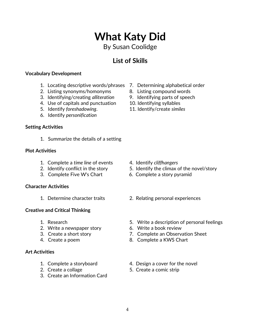## 4

# **What Katy Did**

By Susan Coolidge

### **List of Skills**

#### **Vocabulary Development**

- 1. Locating descriptive words/phrases 7. Determining alphabetical order
- 2. Listing synonyms/homonyms 8. Listing compound words
- 3. Identifying/creating *alliteration* 9. Identifying parts of speech
- 4. Use of capitals and punctuation 10. Identifying syllables
- 5. Identify *foreshadowing*. 11. Identify/create *similes*
- 6. Identify *personification*

### **Setting Activities**

1. Summarize the details of a setting

#### **Plot Activities**

- 1. Complete a *time line* of events 4. Identify *cliffhangers*
- 
- 3. Complete Five W's Chart 6. Complete a story pyramid

### **Character Activities**

### **Creative and Critical Thinking**

- 
- 2. Write a newspaper story 6. Write a book review
- 
- 

### **Art Activities**

- 
- 
- 3. Create an Information Card
- 
- 
- 
- 
- 

- 
- 2. Identify conflict in the story 5. Identify the climax of the novel/story
	-
- 1. Determine character traits 2. Relating personal experiences
- 1. Research 5. Write a description of personal feelings
	-
- 3. Create a short story 7. Complete an Observation Sheet
- 4. Create a poem 8. Complete a KWS Chart
- 1. Complete a storyboard 1. Design a cover for the novel
- 2. Create a collage 5. Create a comic strip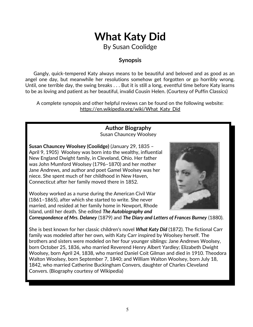By Susan Coolidge

### **Synopsis**

 Gangly, quick-tempered Katy always means to be beautiful and beloved and as good as an angel one day, but meanwhile her resolutions somehow get forgotten or go horribly wrong. Until, one terrible day, the swing breaks . . . But it is still a long, eventful time before Katy learns to be as loving and patient as her beautiful, invalid Cousin Helen. (Courtesy of Puffin Classics)

A complete synopsis and other helpful reviews can be found on the following website: https://en.wikipedia.org/wiki/What\_Katy\_Did

### **Author Biography**

Susan Chauncey Woolsey

**Susan Chauncey Woolsey (Coolidge)** (January 29, 1835 – April 9, 1905) Woolsey was born into the wealthy, influential New England Dwight family, in Cleveland, Ohio. Her father was John Mumford Woolsey (1796–1870) and her mother Jane Andrews, and author and poet Gamel Woolsey was her niece. She spent much of her childhood in New Haven, Connecticut after her family moved there in 1852.

Woolsey worked as a nurse during the American Civil War (1861–1865), after which she started to write. She never married, and resided at her family home in Newport, Rhode Island, until her death. She edited *The Autobiography and*

*Correspondence of Mrs. Delaney* (1879) and *The Diary and Letters of Frances Burney* (1880).

She is best known for her classic children's novel *[What Katy Did](https://en.wikipedia.org/wiki/What_Katy_Did)* (1872). The fictional Carr family was modeled after her own, with Katy Carr inspired by Woolsey herself. The brothers and sisters were modeled on her four younger siblings: Jane Andrews Woolsey, born October 25, 1836, who married Reverend Henry Albert Yardley; Elizabeth Dwight Woolsey, born April 24, 1838, who married Daniel Coit Gilman and died in 1910. Theodora Walton Woolsey, born September 7, 1840; and William Walton Woolsey, born July 18, 1842, who married Catherine Buckingham Convers, daughter of Charles Cleveland Convers. (Biography courtesy of Wikipedia)

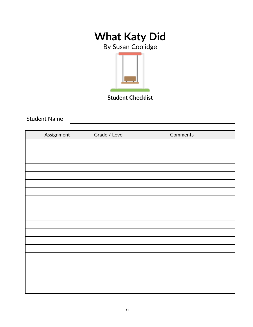By Susan Coolidge



**Student Checklist**

Student Name

| Assignment | Grade / Level | Comments |
|------------|---------------|----------|
|            |               |          |
|            |               |          |
|            |               |          |
|            |               |          |
|            |               |          |
|            |               |          |
|            |               |          |
|            |               |          |
|            |               |          |
|            |               |          |
|            |               |          |
|            |               |          |
|            |               |          |
|            |               |          |
|            |               |          |
|            |               |          |
|            |               |          |
|            |               |          |
|            |               |          |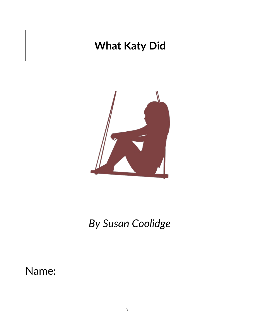

*By Susan Coolidge*

Name: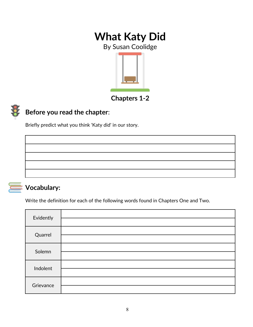By Susan Coolidge



**Chapters 1-2**



### **Before you read the chapter**:

Briefly predict what you think 'Katy did' in our story.



### **Vocabulary:**

Write the definition for each of the following words found in Chapters One and Two.

| Evidently |  |
|-----------|--|
| Quarrel   |  |
| Solemn    |  |
| Indolent  |  |
| Grievance |  |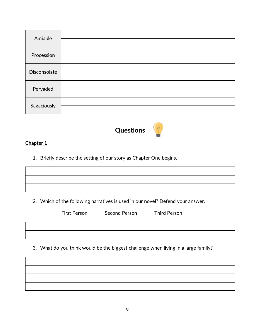| Amiable      |  |
|--------------|--|
| Procession   |  |
| Disconsolate |  |
| Pervaded     |  |
| Sagaciously  |  |



#### **Chapter 1**

1. Briefly describe the setting of our story as Chapter One begins.

2. Which of the following narratives is used in our novel? Defend your answer.

| First Person | Second Person | <b>Third Person</b> |
|--------------|---------------|---------------------|
|              |               |                     |
|              |               |                     |

3. What do you think would be the biggest challenge when living in a large family?

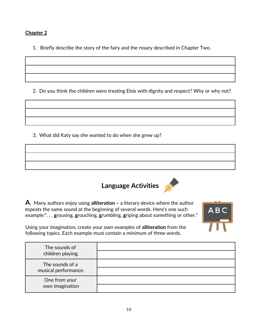#### **Chapter 2**

1. Briefly describe the story of the fairy and the rosary described in Chapter Two.

2. Do you think the children were treating Elsie with dignity and respect? Why or why not?

3. What did Katy say she wanted to do when she grew up?

**Language Activities**

**A**. Many authors enjoy using **alliteration –** a literary device where the author **r**epeats the same sound at the beginning of several words. Here's one such example:". . . **g**rousing, **g**rouching, **g**rumbling, **g**riping about something or other."



Using your imagination, create your own examples of **alliteration** from the following topics. Each example must contain a minimum of three words.

| The sounds of<br>children playing.      |  |
|-----------------------------------------|--|
| The sounds of a<br>musical performance. |  |
| One from your<br>own imagination        |  |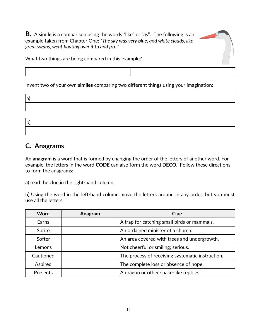**B.** A **simile** is a comparison using the words "like" or "as". The following is an example taken from Chapter One: "*The sky was very blue, and white clouds, like great swans, went floating over it to and fro.* "



What two things are being compared in this example?

Invent two of your own **similes** comparing two different things using your imagination:

| ۹       |  |
|---------|--|
| ×<br>۰. |  |

| <sub>b</sub> |  |  |
|--------------|--|--|
|              |  |  |

### **C. Anagrams**

An **anagram** is a word that is formed by changing the order of the letters of another word. For example, the letters in the word **CODE** can also form the word **DECO**. Follow these directions to form the anagrams:

a) read the clue in the right-hand column.

b) Using the word in the left-hand column move the letters around in any order, but you must use all the letters.

| Word      | Anagram | Clue                                             |
|-----------|---------|--------------------------------------------------|
| Earns     |         | A trap for catching small birds or mammals.      |
| Sprite    |         | An ordained minister of a church.                |
| Softer    |         | An area covered with trees and undergrowth.      |
| Lemons    |         | Not cheerful or smiling; serious.                |
| Cautioned |         | The process of receiving systematic instruction. |
| Aspired   |         | The complete loss or absence of hope.            |
| Presents  |         | A dragon or other snake-like reptiles.           |